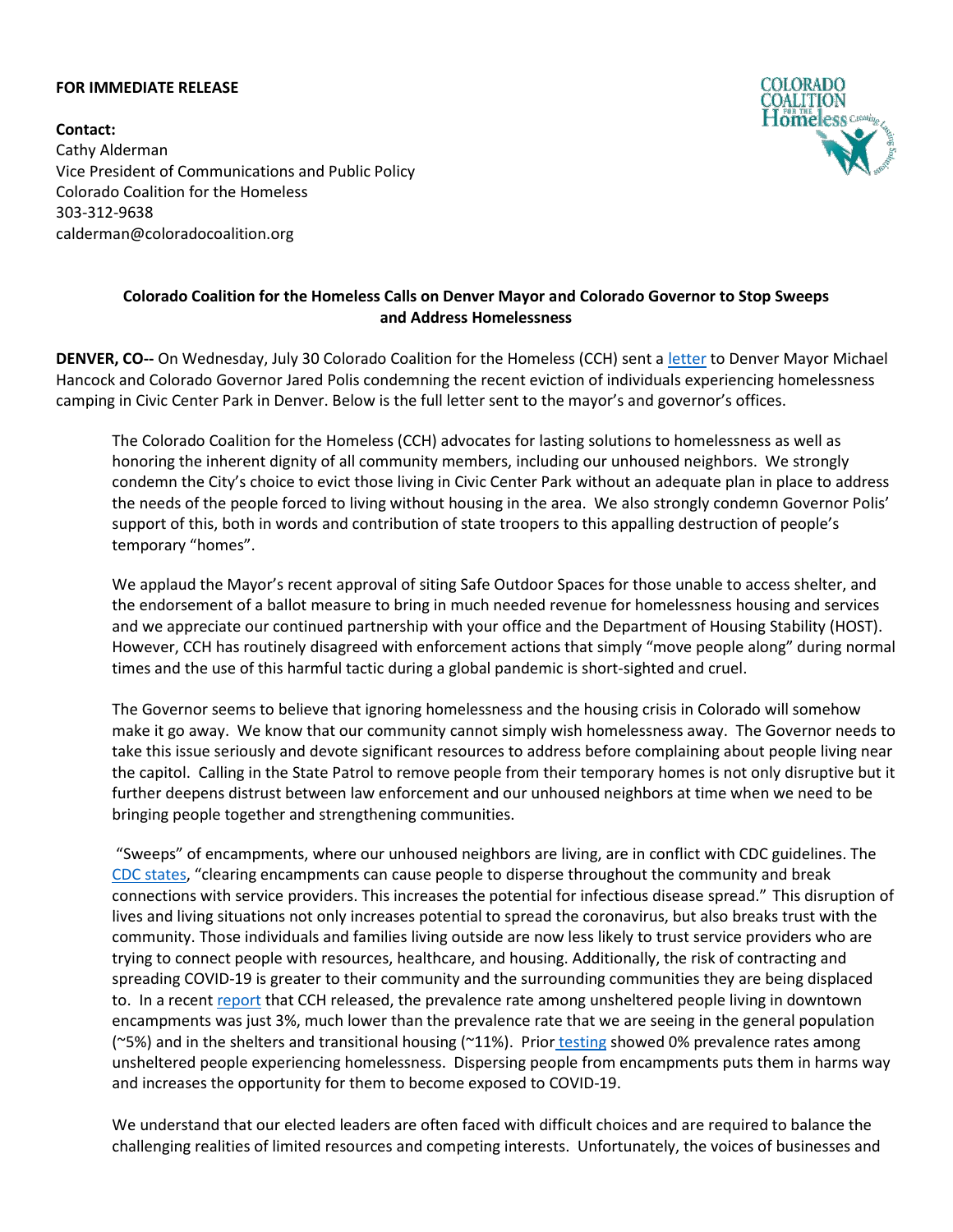## **FOR IMMEDIATE RELEASE**

**Contact:** Cathy Alderman Vice President of Communications and Public Policy Colorado Coalition for the Homeless 303-312-9638 calderman@coloradocoalition.org



## **Colorado Coalition for the Homeless Calls on Denver Mayor and Colorado Governor to Stop Sweeps and Address Homelessness**

**DENVER, CO--** On Wednesday, July 30 Colorado Coalition for the Homeless (CCH) sent a [letter](https://www.coloradocoalition.org/sites/default/files/2020-07/CCH%20Ltr%20to%20Mayor%20and%20Governor%207-30-2020.pdf) to Denver Mayor Michael Hancock and Colorado Governor Jared Polis condemning the recent eviction of individuals experiencing homelessness camping in Civic Center Park in Denver. Below is the full letter sent to the mayor's and governor's offices.

The Colorado Coalition for the Homeless (CCH) advocates for lasting solutions to homelessness as well as honoring the inherent dignity of all community members, including our unhoused neighbors. We strongly condemn the City's choice to evict those living in Civic Center Park without an adequate plan in place to address the needs of the people forced to living without housing in the area. We also strongly condemn Governor Polis' support of this, both in words and contribution of state troopers to this appalling destruction of people's temporary "homes".

We applaud the Mayor's recent approval of siting Safe Outdoor Spaces for those unable to access shelter, and the endorsement of a ballot measure to bring in much needed revenue for homelessness housing and services and we appreciate our continued partnership with your office and the Department of Housing Stability (HOST). However, CCH has routinely disagreed with enforcement actions that simply "move people along" during normal times and the use of this harmful tactic during a global pandemic is short-sighted and cruel.

The Governor seems to believe that ignoring homelessness and the housing crisis in Colorado will somehow make it go away. We know that our community cannot simply wish homelessness away. The Governor needs to take this issue seriously and devote significant resources to address before complaining about people living near the capitol. Calling in the State Patrol to remove people from their temporary homes is not only disruptive but it further deepens distrust between law enforcement and our unhoused neighbors at time when we need to be bringing people together and strengthening communities.

"Sweeps" of encampments, where our unhoused neighbors are living, are in conflict with CDC guidelines. The CDC [states,](https://www.cdc.gov/coronavirus/2019-ncov/community/homeless-shelters/unsheltered-homelessness.html#facility-encampments) "clearing encampments can cause people to disperse throughout the community and break connections with service providers. This increases the potential for infectious disease spread." This disruption of lives and living situations not only increases potential to spread the coronavirus, but also breaks trust with the community. Those individuals and families living outside are now less likely to trust service providers who are trying to connect people with resources, healthcare, and housing. Additionally, the risk of contracting and spreading COVID-19 is greater to their community and the surrounding communities they are being displaced to. In a recent [report](https://www.coloradocoalition.org/sites/default/files/2020-07/COVID-19%20TESTING_Unsheltered%20July%202020.pdf) that CCH released, the prevalence rate among unsheltered people living in downtown encampments was just 3%, much lower than the prevalence rate that we are seeing in the general population ( $\degree$ 5%) and in the shelters and transitional housing ( $\degree$ 11%). Prior [testing](https://www.coloradocoalition.org/covid-19-prevalence-rate-0-found-people-experiencing-homelessness-and-living-encampment) showed 0% prevalence rates among unsheltered people experiencing homelessness. Dispersing people from encampments puts them in harms way and increases the opportunity for them to become exposed to COVID-19.

We understand that our elected leaders are often faced with difficult choices and are required to balance the challenging realities of limited resources and competing interests. Unfortunately, the voices of businesses and